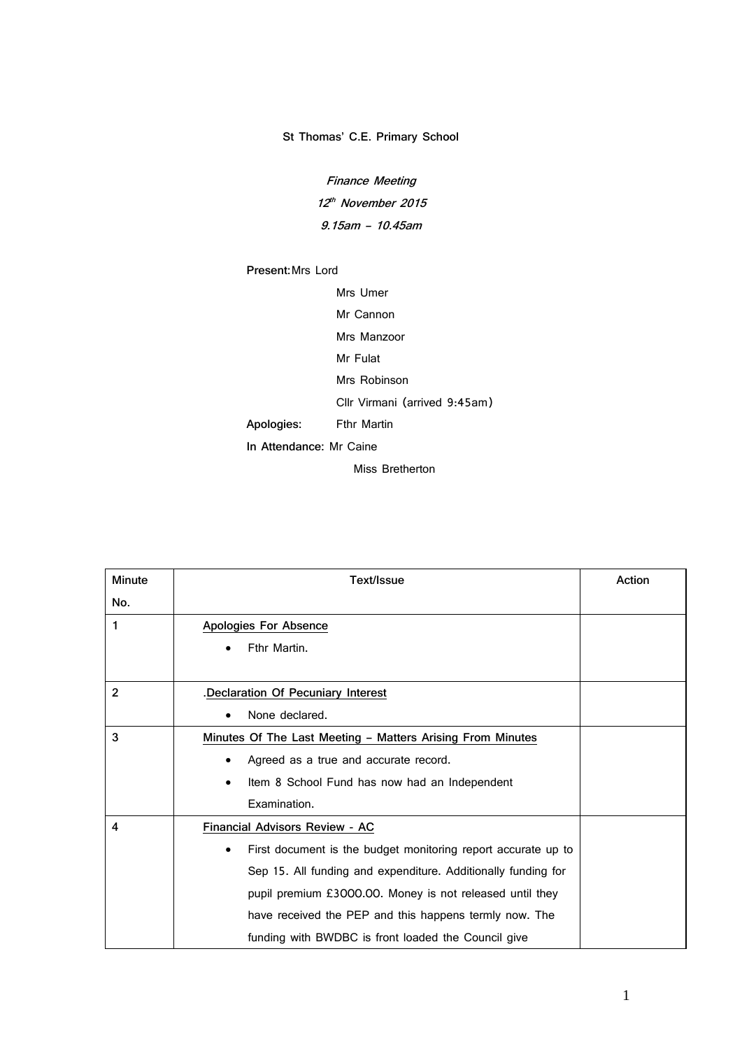## **St Thomas' C.E. Primary School**

**Finance Meeting 12 th November 2015 9.15am – 10.45am**

## **Present:**Mrs Lord

Mrs Umer

Mr Cannon

Mrs Manzoor

Mr Fulat

Mrs Robinson

Cllr Virmani (arrived 9:45am)

**Apologies:** Fthr Martin

**In Attendance:** Mr Caine

Miss Bretherton

| <b>Minute</b>  | Text/Issue                                                         | Action |
|----------------|--------------------------------------------------------------------|--------|
| No.            |                                                                    |        |
| 1              | Apologies For Absence                                              |        |
|                | Fthr Martin.<br>٠                                                  |        |
|                |                                                                    |        |
| $\overline{2}$ | Declaration Of Pecuniary Interest                                  |        |
|                | None declared.<br>$\bullet$                                        |        |
| 3              | Minutes Of The Last Meeting - Matters Arising From Minutes         |        |
|                | Agreed as a true and accurate record.<br>٠                         |        |
|                | Item 8 School Fund has now had an Independent<br>٠                 |        |
|                | Examination.                                                       |        |
| 4              | Financial Advisors Review - AC                                     |        |
|                | First document is the budget monitoring report accurate up to<br>٠ |        |
|                | Sep 15. All funding and expenditure. Additionally funding for      |        |
|                | pupil premium £3000.00. Money is not released until they           |        |
|                | have received the PEP and this happens termly now. The             |        |
|                | funding with BWDBC is front loaded the Council give                |        |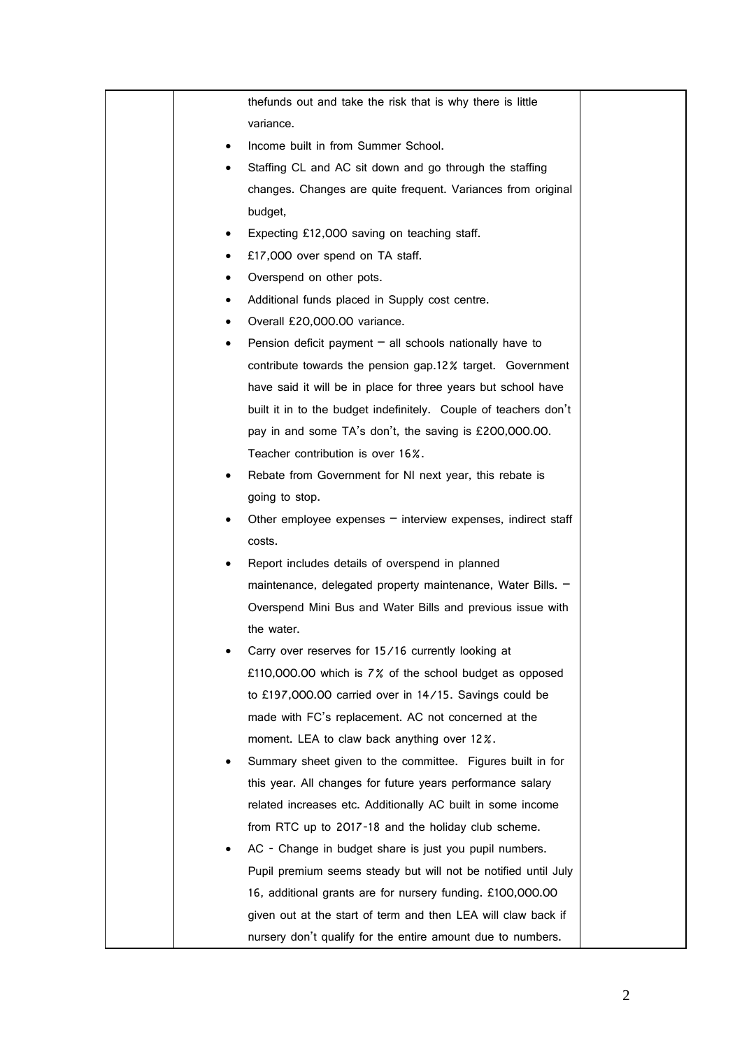|   | the funds out and take the risk that is why there is little      |  |
|---|------------------------------------------------------------------|--|
|   | variance.                                                        |  |
|   | Income built in from Summer School.                              |  |
|   | Staffing CL and AC sit down and go through the staffing          |  |
|   | changes. Changes are quite frequent. Variances from original     |  |
|   | budget,                                                          |  |
|   | Expecting £12,000 saving on teaching staff.                      |  |
|   | £17,000 over spend on TA staff.                                  |  |
| ٠ | Overspend on other pots.                                         |  |
|   | Additional funds placed in Supply cost centre.                   |  |
| ٠ | Overall £20,000.00 variance.                                     |  |
| ٠ | Pension deficit payment $-$ all schools nationally have to       |  |
|   | contribute towards the pension gap.12% target. Government        |  |
|   | have said it will be in place for three years but school have    |  |
|   | built it in to the budget indefinitely. Couple of teachers don't |  |
|   | pay in and some TA's don't, the saving is £200,000.00.           |  |
|   | Teacher contribution is over 16%.                                |  |
|   | Rebate from Government for NI next year, this rebate is          |  |
|   | going to stop.                                                   |  |
|   | Other employee expenses $-$ interview expenses, indirect staff   |  |
|   | costs.                                                           |  |
|   | Report includes details of overspend in planned                  |  |
|   | maintenance, delegated property maintenance, Water Bills. -      |  |
|   | Overspend Mini Bus and Water Bills and previous issue with       |  |
|   | the water.                                                       |  |
|   | Carry over reserves for 15/16 currently looking at               |  |
|   | £110,000.00 which is 7% of the school budget as opposed          |  |
|   | to £197,000.00 carried over in 14/15. Savings could be           |  |
|   | made with FC's replacement. AC not concerned at the              |  |
|   | moment. LEA to claw back anything over 12%.                      |  |
|   | Summary sheet given to the committee. Figures built in for       |  |
|   | this year. All changes for future years performance salary       |  |
|   | related increases etc. Additionally AC built in some income      |  |
|   | from RTC up to 2017-18 and the holiday club scheme.              |  |
|   | AC - Change in budget share is just you pupil numbers.           |  |
|   | Pupil premium seems steady but will not be notified until July   |  |
|   | 16, additional grants are for nursery funding. £100,000.00       |  |
|   | given out at the start of term and then LEA will claw back if    |  |
|   | nursery don't qualify for the entire amount due to numbers.      |  |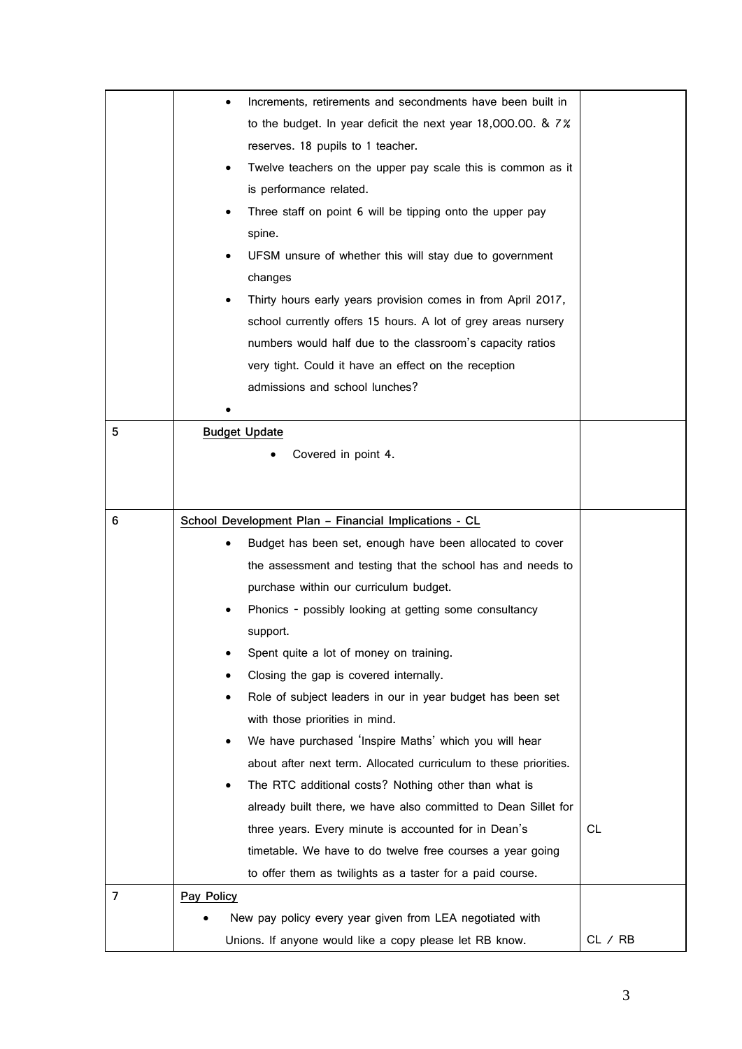|                | Increments, retirements and secondments have been built in<br>٠  |         |
|----------------|------------------------------------------------------------------|---------|
|                | to the budget. In year deficit the next year 18,000.00. & 7%     |         |
|                | reserves. 18 pupils to 1 teacher.                                |         |
|                | Twelve teachers on the upper pay scale this is common as it      |         |
|                | is performance related.                                          |         |
|                | Three staff on point 6 will be tipping onto the upper pay        |         |
|                | spine.                                                           |         |
|                | UFSM unsure of whether this will stay due to government          |         |
|                | changes                                                          |         |
|                | Thirty hours early years provision comes in from April 2017,     |         |
|                | school currently offers 15 hours. A lot of grey areas nursery    |         |
|                | numbers would half due to the classroom's capacity ratios        |         |
|                | very tight. Could it have an effect on the reception             |         |
|                | admissions and school lunches?                                   |         |
|                |                                                                  |         |
| 5              | <b>Budget Update</b>                                             |         |
|                | Covered in point 4.                                              |         |
|                |                                                                  |         |
|                |                                                                  |         |
| 6              | School Development Plan - Financial Implications - CL            |         |
|                | Budget has been set, enough have been allocated to cover         |         |
|                | the assessment and testing that the school has and needs to      |         |
|                | purchase within our curriculum budget.                           |         |
|                | Phonics - possibly looking at getting some consultancy           |         |
|                | support.                                                         |         |
|                | Spent quite a lot of money on training.                          |         |
|                | Closing the gap is covered internally.                           |         |
|                | Role of subject leaders in our in year budget has been set       |         |
|                | with those priorities in mind.                                   |         |
|                | We have purchased 'Inspire Maths' which you will hear            |         |
|                | about after next term. Allocated curriculum to these priorities. |         |
|                | The RTC additional costs? Nothing other than what is<br>٠        |         |
|                | already built there, we have also committed to Dean Sillet for   |         |
|                | three years. Every minute is accounted for in Dean's             | CL.     |
|                | timetable. We have to do twelve free courses a year going        |         |
|                | to offer them as twilights as a taster for a paid course.        |         |
| $\overline{7}$ | Pay Policy                                                       |         |
|                | New pay policy every year given from LEA negotiated with         |         |
|                | Unions. If anyone would like a copy please let RB know.          | CL / RB |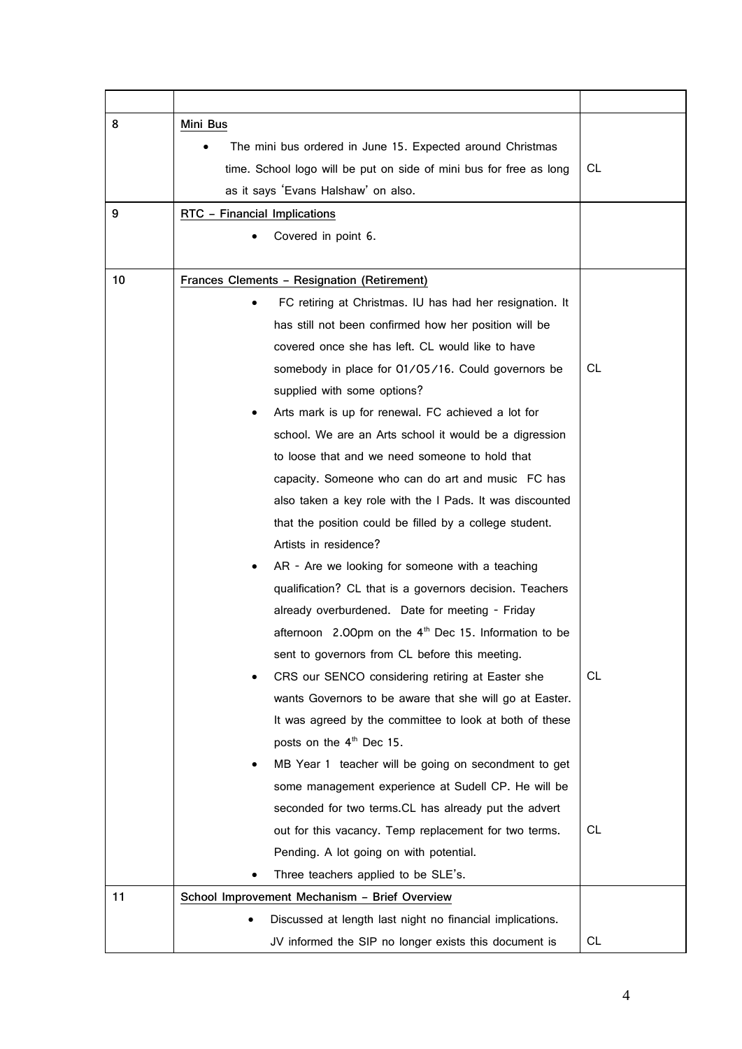| 8  | Mini Bus                                                                          |     |
|----|-----------------------------------------------------------------------------------|-----|
|    | The mini bus ordered in June 15. Expected around Christmas                        |     |
|    | time. School logo will be put on side of mini bus for free as long                | CL. |
|    | as it says 'Evans Halshaw' on also.                                               |     |
| 9  | RTC - Financial Implications                                                      |     |
|    | Covered in point 6.                                                               |     |
| 10 | Frances Clements - Resignation (Retirement)                                       |     |
|    | FC retiring at Christmas. IU has had her resignation. It                          |     |
|    | has still not been confirmed how her position will be                             |     |
|    | covered once she has left. CL would like to have                                  |     |
|    | somebody in place for 01/05/16. Could governors be<br>supplied with some options? | CL. |
|    | Arts mark is up for renewal. FC achieved a lot for                                |     |
|    | school. We are an Arts school it would be a digression                            |     |
|    | to loose that and we need someone to hold that                                    |     |
|    | capacity. Someone who can do art and music FC has                                 |     |
|    | also taken a key role with the I Pads. It was discounted                          |     |
|    | that the position could be filled by a college student.                           |     |
|    | Artists in residence?                                                             |     |
|    | AR - Are we looking for someone with a teaching                                   |     |
|    | qualification? CL that is a governors decision. Teachers                          |     |
|    | already overburdened. Date for meeting - Friday                                   |     |
|    | afternoon 2.00pm on the 4 <sup>th</sup> Dec 15. Information to be                 |     |
|    | sent to governors from CL before this meeting.                                    |     |
|    | CRS our SENCO considering retiring at Easter she                                  | CL. |
|    | wants Governors to be aware that she will go at Easter.                           |     |
|    | It was agreed by the committee to look at both of these                           |     |
|    | posts on the 4 <sup>th</sup> Dec 15.                                              |     |
|    | MB Year 1 teacher will be going on secondment to get                              |     |
|    | some management experience at Sudell CP. He will be                               |     |
|    | seconded for two terms. CL has already put the advert                             |     |
|    | out for this vacancy. Temp replacement for two terms.                             | CL. |
|    | Pending. A lot going on with potential.                                           |     |
|    | Three teachers applied to be SLE's.                                               |     |
| 11 | School Improvement Mechanism - Brief Overview                                     |     |
|    | Discussed at length last night no financial implications.                         |     |
|    | JV informed the SIP no longer exists this document is                             | CL. |